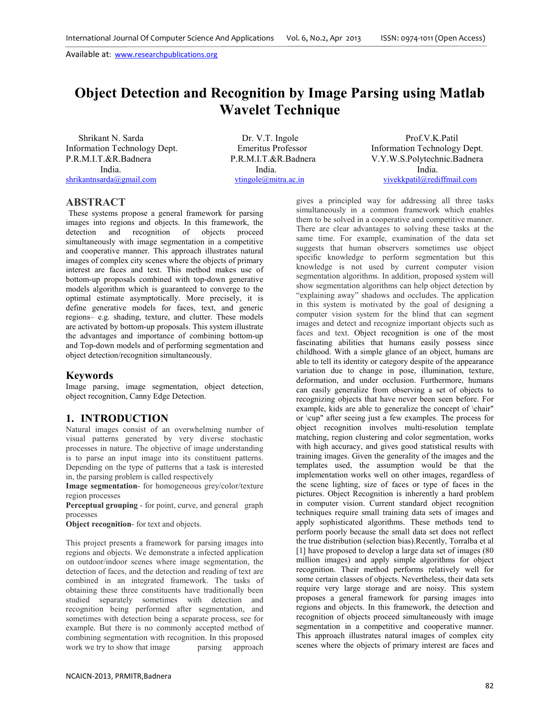# **Object Detection and Recognition by Image Parsing using Matlab Wavelet Technique**

 Shrikant N. Sarda Dr. V.T. Ingole Prof.V.K.Patil India. India. India.

Information Technology Dept. Emeritus Professor Information Technology Dept. P.R.M.I.T.&R.Badnera P.R.M.I.T.&R.Badnera V.Y.W.S.Polytechnic.Badnera shrikantnsarda@gmail.com vtingole@mitra.ac.in vivekkpatil@rediffmail.com

## **ABSTRACT**

These systems propose a general framework for parsing images into regions and objects. In this framework, the detection and recognition of objects proceed simultaneously with image segmentation in a competitive and cooperative manner. This approach illustrates natural images of complex city scenes where the objects of primary interest are faces and text. This method makes use of bottom-up proposals combined with top-down generative models algorithm which is guaranteed to converge to the optimal estimate asymptotically. More precisely, it is define generative models for faces, text, and generic regions– e.g. shading, texture, and clutter. These models are activated by bottom-up proposals. This system illustrate the advantages and importance of combining bottom-up and Top-down models and of performing segmentation and object detection/recognition simultaneously.

#### **Keywords**

Image parsing, image segmentation, object detection, object recognition, Canny Edge Detection.

#### **1. INTRODUCTION**

Natural images consist of an overwhelming number of visual patterns generated by very diverse stochastic processes in nature. The objective of image understanding is to parse an input image into its constituent patterns. Depending on the type of patterns that a task is interested in, the parsing problem is called respectively

**Image segmentation**- for homogeneous grey/color/texture region processes

**Perceptual grouping** - for point, curve, and general graph processes

**Object recognition-** for text and objects.

This project presents a framework for parsing images into regions and objects. We demonstrate a infected application on outdoor/indoor scenes where image segmentation, the detection of faces, and the detection and reading of text are combined in an integrated framework. The tasks of obtaining these three constituents have traditionally been studied separately sometimes with detection and recognition being performed after segmentation, and sometimes with detection being a separate process, see for example. But there is no commonly accepted method of combining segmentation with recognition. In this proposed work we try to show that image parsing approach

gives a principled way for addressing all three tasks simultaneously in a common framework which enables them to be solved in a cooperative and competitive manner. There are clear advantages to solving these tasks at the same time. For example, examination of the data set suggests that human observers sometimes use object specific knowledge to perform segmentation but this knowledge is not used by current computer vision segmentation algorithms. In addition, proposed system will show segmentation algorithms can help object detection by "explaining away" shadows and occludes. The application in this system is motivated by the goal of designing a computer vision system for the blind that can segment images and detect and recognize important objects such as faces and text. Object recognition is one of the most fascinating abilities that humans easily possess since childhood. With a simple glance of an object, humans are able to tell its identity or category despite of the appearance variation due to change in pose, illumination, texture, deformation, and under occlusion. Furthermore, humans can easily generalize from observing a set of objects to recognizing objects that have never been seen before. For example, kids are able to generalize the concept of \chair" or \cup" after seeing just a few examples. The process for object recognition involves multi-resolution template matching, region clustering and color segmentation, works with high accuracy, and gives good statistical results with training images. Given the generality of the images and the templates used, the assumption would be that the implementation works well on other images, regardless of the scene lighting, size of faces or type of faces in the pictures. Object Recognition is inherently a hard problem in computer vision. Current standard object recognition techniques require small training data sets of images and apply sophisticated algorithms. These methods tend to perform poorly because the small data set does not reflect the true distribution (selection bias).Recently, Torralba et al [1] have proposed to develop a large data set of images (80 million images) and apply simple algorithms for object recognition. Their method performs relatively well for some certain classes of objects. Nevertheless, their data sets require very large storage and are noisy. This system proposes a general framework for parsing images into regions and objects. In this framework, the detection and recognition of objects proceed simultaneously with image segmentation in a competitive and cooperative manner. This approach illustrates natural images of complex city scenes where the objects of primary interest are faces and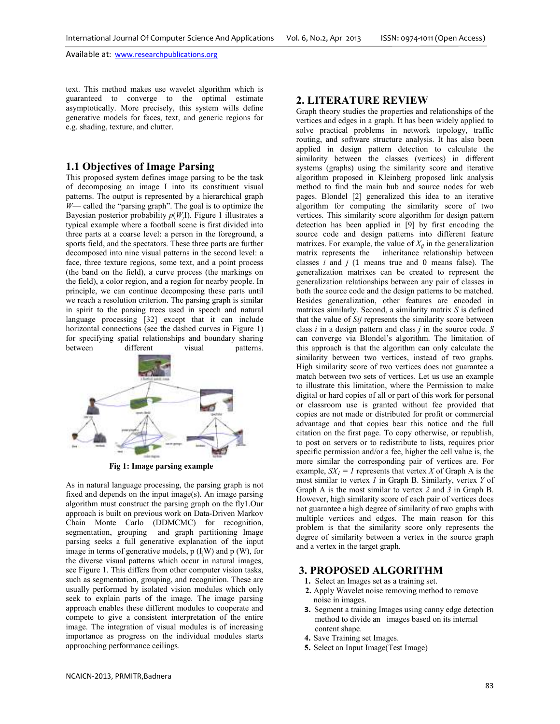text. This method makes use wavelet algorithm which is guaranteed to converge to the optimal estimate asymptotically. More precisely, this system wills define generative models for faces, text, and generic regions for e.g. shading, texture, and clutter.

## **1.1 Objectives of Image Parsing**

This proposed system defines image parsing to be the task of decomposing an image I into its constituent visual patterns. The output is represented by a hierarchical graph  $W$ — called the "parsing graph". The goal is to optimize the Bayesian posterior probability *p*(*W<sup>j</sup>* I). Figure 1 illustrates a typical example where a football scene is first divided into three parts at a coarse level: a person in the foreground, a sports field, and the spectators. These three parts are further decomposed into nine visual patterns in the second level: a face, three texture regions, some text, and a point process (the band on the field), a curve process (the markings on the field), a color region, and a region for nearby people. In principle, we can continue decomposing these parts until we reach a resolution criterion. The parsing graph is similar in spirit to the parsing trees used in speech and natural language processing [32] except that it can include horizontal connections (see the dashed curves in Figure 1) for specifying spatial relationships and boundary sharing<br>between different visual patterns. patterns.



 **Fig 1: Image parsing example** 

As in natural language processing, the parsing graph is not fixed and depends on the input image(s). An image parsing algorithm must construct the parsing graph on the fly1.Our approach is built on previous work on Data-Driven Markov Chain Monte Carlo (DDMCMC) for recognition, segmentation, grouping and graph partitioning Image parsing seeks a full generative explanation of the input image in terms of generative models,  $p(I_iW)$  and  $p(W)$ , for the diverse visual patterns which occur in natural images, see Figure 1. This differs from other computer vision tasks, such as segmentation, grouping, and recognition. These are usually performed by isolated vision modules which only seek to explain parts of the image. The image parsing approach enables these different modules to cooperate and compete to give a consistent interpretation of the entire image. The integration of visual modules is of increasing importance as progress on the individual modules starts approaching performance ceilings.

### **2. LITERATURE REVIEW**

Graph theory studies the properties and relationships of the vertices and edges in a graph. It has been widely applied to solve practical problems in network topology, traffic routing, and software structure analysis. It has also been applied in design pattern detection to calculate the similarity between the classes (vertices) in different systems (graphs) using the similarity score and iterative algorithm proposed in Kleinberg proposed link analysis method to find the main hub and source nodes for web pages. Blondel [2] generalized this idea to an iterative algorithm for computing the similarity score of two vertices. This similarity score algorithm for design pattern detection has been applied in [9] by first encoding the source code and design patterns into different feature matrixes. For example, the value of  $X_i$  in the generalization matrix represents the inheritance relationship between classes  $i$  and  $j$  (1 means true and 0 means false). The generalization matrixes can be created to represent the generalization relationships between any pair of classes in both the source code and the design patterns to be matched. Besides generalization, other features are encoded in matrixes similarly. Second, a similarity matrix *S* is defined that the value of *Sij* represents the similarity score between class *i* in a design pattern and class *j* in the source code. *S*  can converge via Blondel's algorithm. The limitation of this approach is that the algorithm can only calculate the similarity between two vertices, instead of two graphs. High similarity score of two vertices does not guarantee a match between two sets of vertices. Let us use an example to illustrate this limitation, where the Permission to make digital or hard copies of all or part of this work for personal or classroom use is granted without fee provided that copies are not made or distributed for profit or commercial advantage and that copies bear this notice and the full citation on the first page. To copy otherwise, or republish, to post on servers or to redistribute to lists, requires prior specific permission and/or a fee, higher the cell value is, the more similar the corresponding pair of vertices are. For example,  $SX<sub>l</sub> = l$  represents that vertex *X* of Graph A is the most similar to vertex *1* in Graph B. Similarly, vertex *Y* of Graph A is the most similar to vertex *2* and *3* in Graph B. However, high similarity score of each pair of vertices does not guarantee a high degree of similarity of two graphs with multiple vertices and edges. The main reason for this problem is that the similarity score only represents the degree of similarity between a vertex in the source graph and a vertex in the target graph.

## **3. PROPOSED ALGORITHM**

- **1.** Select an Images set as a training set.
- **2.** Apply Wavelet noise removing method to remove noise in images.
- **3.** Segment a training Images using canny edge detection method to divide an images based on its internal content shape.
- **4.** Save Training set Images.
- **5.** Select an Input Image(Test Image)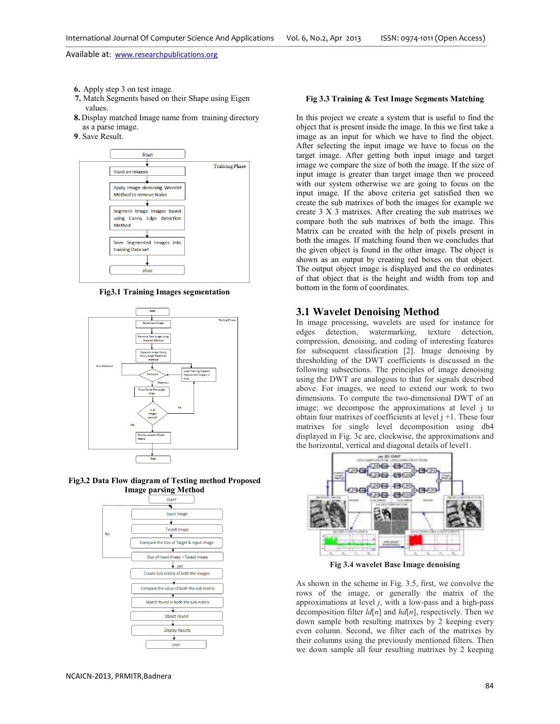- **6.** Apply step 3 on test image.
- **7.** Match Segments based on their Shape using Eigen values.
- **8.** Display matched Image name from training directory as a parse image.
- **9**. Save Result.



**Fig3.1 Training Images segmentation** 







#### **Fig 3.3 Training & Test Image Segments Matching**

In this project we create a system that is useful to find the object that is present inside the image. In this we first take a image as an input for which we have to find the object. After selecting the input image we have to focus on the target image. After getting both input image and target image we compare the size of both the image. If the size of input image is greater than target image then we proceed with our system otherwise we are going to focus on the input image. If the above criteria get satisfied then we create the sub matrixes of both the images for example we create 3 X 3 matrixes. After creating the sub matrixes we compare both the sub matrixes of both the image. This Matrix can be created with the help of pixels present in both the images. If matching found then we concludes that the given object is found in the other image. The object is shown as an output by creating red boxes on that object. The output object image is displayed and the co ordinates of that object that is the height and width from top and bottom in the form of coordinates.

#### **3.1 Wavelet Denoising Method**

In image processing, wavelets are used for instance for edges detection, watermarking, texture detection, compression, denoising, and coding of interesting features for subsequent classification [2]. Image denoising by thresholding of the DWT coefficients is discussed in the following subsections. The principles of image denoising using the DWT are analogous to that for signals described above. For images, we need to extend our work to two dimensions. To compute the two-dimensional DWT of an image; we decompose the approximations at level j to obtain four matrixes of coefficients at level  $j + 1$ . These four matrixes for single level decomposition using db4 displayed in Fig. 3c are, clockwise, the approximations and the horizontal, vertical and diagonal details of level1.



**Fig 3.4 wavelet Base Image denoising** 

As shown in the scheme in Fig. 3.5, first, we convolve the rows of the image, or generally the matrix of the approximations at level *j*, with a low-pass and a high-pass decomposition filter *ld*[*n*] and *hd*[*n*], respectively. Then we down sample both resulting matrixes by 2 keeping every even column. Second, we filter each of the matrixes by their columns using the previously mentioned filters. Then we down sample all four resulting matrixes by 2 keeping